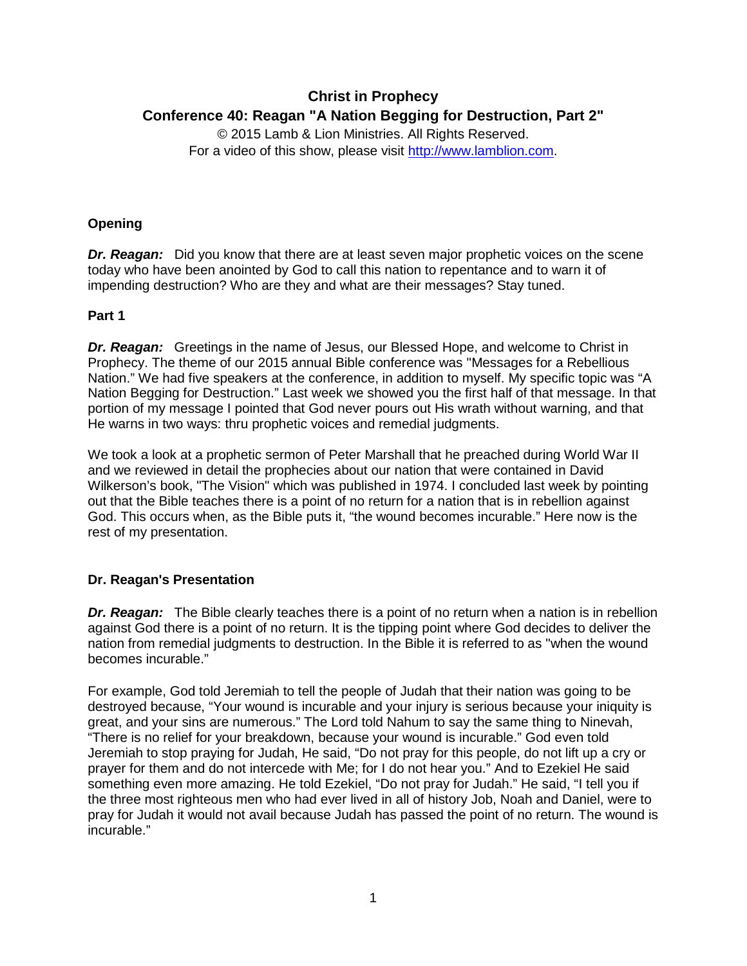# **Christ in Prophecy Conference 40: Reagan "A Nation Begging for Destruction, Part 2"**

© 2015 Lamb & Lion Ministries. All Rights Reserved. For a video of this show, please visit [http://www.lamblion.com.](http://www.lamblion.com/)

## **Opening**

**Dr. Reagan:** Did you know that there are at least seven major prophetic voices on the scene today who have been anointed by God to call this nation to repentance and to warn it of impending destruction? Who are they and what are their messages? Stay tuned.

## **Part 1**

*Dr. Reagan:* Greetings in the name of Jesus, our Blessed Hope, and welcome to Christ in Prophecy. The theme of our 2015 annual Bible conference was "Messages for a Rebellious Nation." We had five speakers at the conference, in addition to myself. My specific topic was "A Nation Begging for Destruction." Last week we showed you the first half of that message. In that portion of my message I pointed that God never pours out His wrath without warning, and that He warns in two ways: thru prophetic voices and remedial judgments.

We took a look at a prophetic sermon of Peter Marshall that he preached during World War II and we reviewed in detail the prophecies about our nation that were contained in David Wilkerson's book, "The Vision" which was published in 1974. I concluded last week by pointing out that the Bible teaches there is a point of no return for a nation that is in rebellion against God. This occurs when, as the Bible puts it, "the wound becomes incurable." Here now is the rest of my presentation.

## **Dr. Reagan's Presentation**

**Dr. Reagan:** The Bible clearly teaches there is a point of no return when a nation is in rebellion against God there is a point of no return. It is the tipping point where God decides to deliver the nation from remedial judgments to destruction. In the Bible it is referred to as "when the wound becomes incurable."

For example, God told Jeremiah to tell the people of Judah that their nation was going to be destroyed because, "Your wound is incurable and your injury is serious because your iniquity is great, and your sins are numerous." The Lord told Nahum to say the same thing to Ninevah, "There is no relief for your breakdown, because your wound is incurable." God even told Jeremiah to stop praying for Judah, He said, "Do not pray for this people, do not lift up a cry or prayer for them and do not intercede with Me; for I do not hear you." And to Ezekiel He said something even more amazing. He told Ezekiel, "Do not pray for Judah." He said, "I tell you if the three most righteous men who had ever lived in all of history Job, Noah and Daniel, were to pray for Judah it would not avail because Judah has passed the point of no return. The wound is incurable."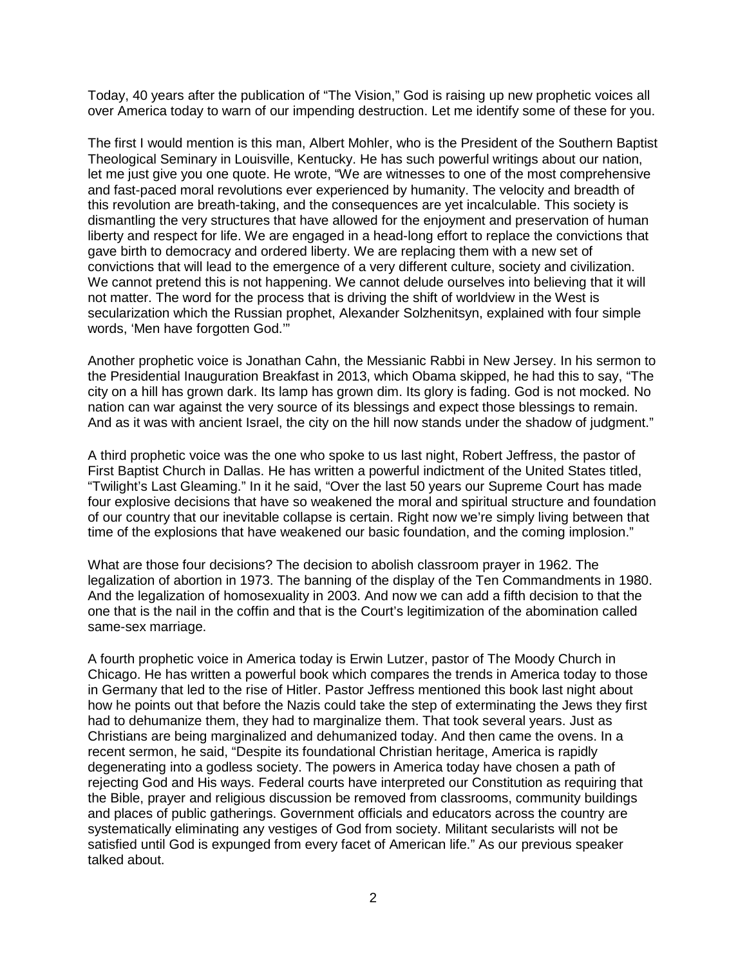Today, 40 years after the publication of "The Vision," God is raising up new prophetic voices all over America today to warn of our impending destruction. Let me identify some of these for you.

The first I would mention is this man, Albert Mohler, who is the President of the Southern Baptist Theological Seminary in Louisville, Kentucky. He has such powerful writings about our nation, let me just give you one quote. He wrote, "We are witnesses to one of the most comprehensive and fast-paced moral revolutions ever experienced by humanity. The velocity and breadth of this revolution are breath-taking, and the consequences are yet incalculable. This society is dismantling the very structures that have allowed for the enjoyment and preservation of human liberty and respect for life. We are engaged in a head-long effort to replace the convictions that gave birth to democracy and ordered liberty. We are replacing them with a new set of convictions that will lead to the emergence of a very different culture, society and civilization. We cannot pretend this is not happening. We cannot delude ourselves into believing that it will not matter. The word for the process that is driving the shift of worldview in the West is secularization which the Russian prophet, Alexander Solzhenitsyn, explained with four simple words, 'Men have forgotten God.'"

Another prophetic voice is Jonathan Cahn, the Messianic Rabbi in New Jersey. In his sermon to the Presidential Inauguration Breakfast in 2013, which Obama skipped, he had this to say, "The city on a hill has grown dark. Its lamp has grown dim. Its glory is fading. God is not mocked. No nation can war against the very source of its blessings and expect those blessings to remain. And as it was with ancient Israel, the city on the hill now stands under the shadow of judgment."

A third prophetic voice was the one who spoke to us last night, Robert Jeffress, the pastor of First Baptist Church in Dallas. He has written a powerful indictment of the United States titled, "Twilight's Last Gleaming." In it he said, "Over the last 50 years our Supreme Court has made four explosive decisions that have so weakened the moral and spiritual structure and foundation of our country that our inevitable collapse is certain. Right now we're simply living between that time of the explosions that have weakened our basic foundation, and the coming implosion."

What are those four decisions? The decision to abolish classroom prayer in 1962. The legalization of abortion in 1973. The banning of the display of the Ten Commandments in 1980. And the legalization of homosexuality in 2003. And now we can add a fifth decision to that the one that is the nail in the coffin and that is the Court's legitimization of the abomination called same-sex marriage.

A fourth prophetic voice in America today is Erwin Lutzer, pastor of The Moody Church in Chicago. He has written a powerful book which compares the trends in America today to those in Germany that led to the rise of Hitler. Pastor Jeffress mentioned this book last night about how he points out that before the Nazis could take the step of exterminating the Jews they first had to dehumanize them, they had to marginalize them. That took several years. Just as Christians are being marginalized and dehumanized today. And then came the ovens. In a recent sermon, he said, "Despite its foundational Christian heritage, America is rapidly degenerating into a godless society. The powers in America today have chosen a path of rejecting God and His ways. Federal courts have interpreted our Constitution as requiring that the Bible, prayer and religious discussion be removed from classrooms, community buildings and places of public gatherings. Government officials and educators across the country are systematically eliminating any vestiges of God from society. Militant secularists will not be satisfied until God is expunged from every facet of American life." As our previous speaker talked about.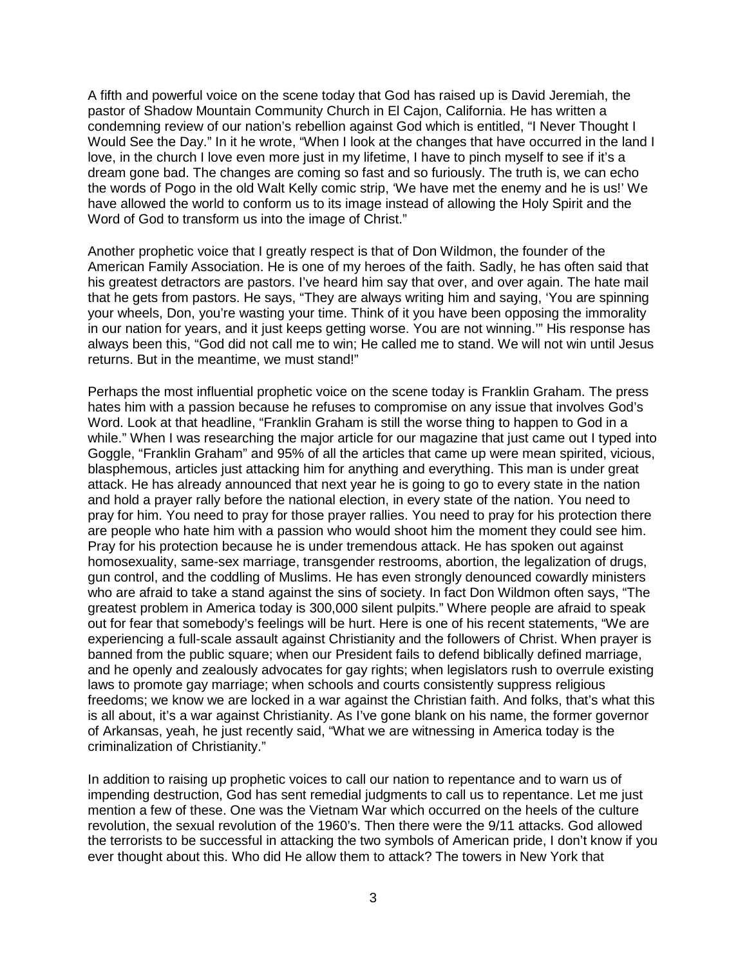A fifth and powerful voice on the scene today that God has raised up is David Jeremiah, the pastor of Shadow Mountain Community Church in El Cajon, California. He has written a condemning review of our nation's rebellion against God which is entitled, "I Never Thought I Would See the Day." In it he wrote, "When I look at the changes that have occurred in the land I love, in the church I love even more just in my lifetime, I have to pinch myself to see if it's a dream gone bad. The changes are coming so fast and so furiously. The truth is, we can echo the words of Pogo in the old Walt Kelly comic strip, 'We have met the enemy and he is us!' We have allowed the world to conform us to its image instead of allowing the Holy Spirit and the Word of God to transform us into the image of Christ."

Another prophetic voice that I greatly respect is that of Don Wildmon, the founder of the American Family Association. He is one of my heroes of the faith. Sadly, he has often said that his greatest detractors are pastors. I've heard him say that over, and over again. The hate mail that he gets from pastors. He says, "They are always writing him and saying, 'You are spinning your wheels, Don, you're wasting your time. Think of it you have been opposing the immorality in our nation for years, and it just keeps getting worse. You are not winning.'" His response has always been this, "God did not call me to win; He called me to stand. We will not win until Jesus returns. But in the meantime, we must stand!"

Perhaps the most influential prophetic voice on the scene today is Franklin Graham. The press hates him with a passion because he refuses to compromise on any issue that involves God's Word. Look at that headline, "Franklin Graham is still the worse thing to happen to God in a while." When I was researching the major article for our magazine that just came out I typed into Goggle, "Franklin Graham" and 95% of all the articles that came up were mean spirited, vicious, blasphemous, articles just attacking him for anything and everything. This man is under great attack. He has already announced that next year he is going to go to every state in the nation and hold a prayer rally before the national election, in every state of the nation. You need to pray for him. You need to pray for those prayer rallies. You need to pray for his protection there are people who hate him with a passion who would shoot him the moment they could see him. Pray for his protection because he is under tremendous attack. He has spoken out against homosexuality, same-sex marriage, transgender restrooms, abortion, the legalization of drugs, gun control, and the coddling of Muslims. He has even strongly denounced cowardly ministers who are afraid to take a stand against the sins of society. In fact Don Wildmon often says, "The greatest problem in America today is 300,000 silent pulpits." Where people are afraid to speak out for fear that somebody's feelings will be hurt. Here is one of his recent statements, "We are experiencing a full-scale assault against Christianity and the followers of Christ. When prayer is banned from the public square; when our President fails to defend biblically defined marriage, and he openly and zealously advocates for gay rights; when legislators rush to overrule existing laws to promote gay marriage; when schools and courts consistently suppress religious freedoms; we know we are locked in a war against the Christian faith. And folks, that's what this is all about, it's a war against Christianity. As I've gone blank on his name, the former governor of Arkansas, yeah, he just recently said, "What we are witnessing in America today is the criminalization of Christianity."

In addition to raising up prophetic voices to call our nation to repentance and to warn us of impending destruction, God has sent remedial judgments to call us to repentance. Let me just mention a few of these. One was the Vietnam War which occurred on the heels of the culture revolution, the sexual revolution of the 1960's. Then there were the 9/11 attacks. God allowed the terrorists to be successful in attacking the two symbols of American pride, I don't know if you ever thought about this. Who did He allow them to attack? The towers in New York that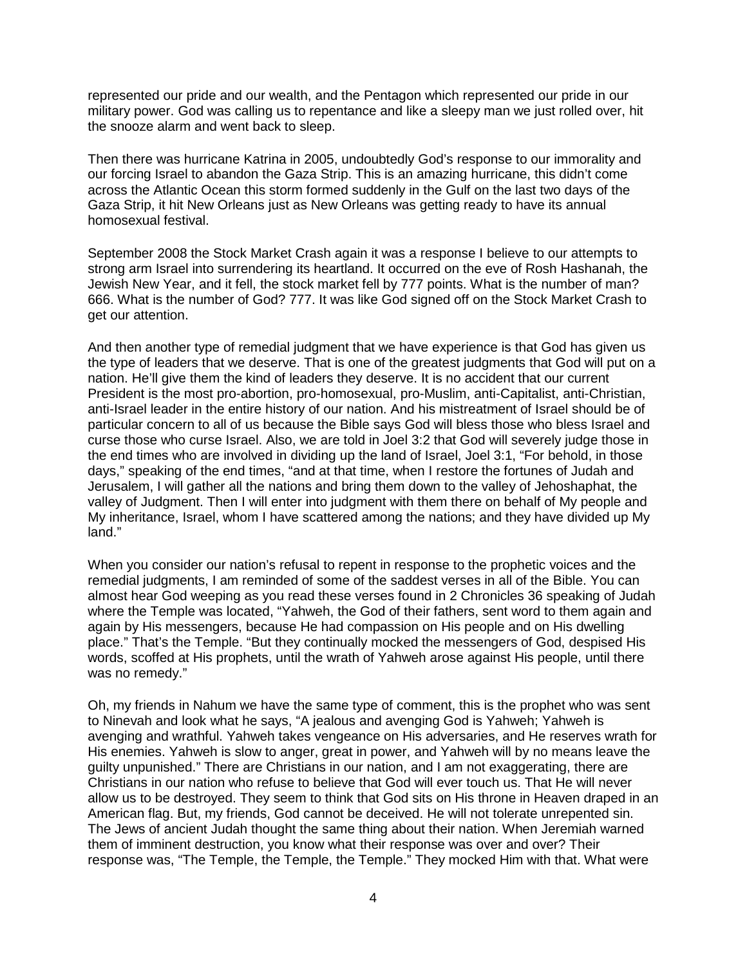represented our pride and our wealth, and the Pentagon which represented our pride in our military power. God was calling us to repentance and like a sleepy man we just rolled over, hit the snooze alarm and went back to sleep.

Then there was hurricane Katrina in 2005, undoubtedly God's response to our immorality and our forcing Israel to abandon the Gaza Strip. This is an amazing hurricane, this didn't come across the Atlantic Ocean this storm formed suddenly in the Gulf on the last two days of the Gaza Strip, it hit New Orleans just as New Orleans was getting ready to have its annual homosexual festival.

September 2008 the Stock Market Crash again it was a response I believe to our attempts to strong arm Israel into surrendering its heartland. It occurred on the eve of Rosh Hashanah, the Jewish New Year, and it fell, the stock market fell by 777 points. What is the number of man? 666. What is the number of God? 777. It was like God signed off on the Stock Market Crash to get our attention.

And then another type of remedial judgment that we have experience is that God has given us the type of leaders that we deserve. That is one of the greatest judgments that God will put on a nation. He'll give them the kind of leaders they deserve. It is no accident that our current President is the most pro-abortion, pro-homosexual, pro-Muslim, anti-Capitalist, anti-Christian, anti-Israel leader in the entire history of our nation. And his mistreatment of Israel should be of particular concern to all of us because the Bible says God will bless those who bless Israel and curse those who curse Israel. Also, we are told in Joel 3:2 that God will severely judge those in the end times who are involved in dividing up the land of Israel, Joel 3:1, "For behold, in those days," speaking of the end times, "and at that time, when I restore the fortunes of Judah and Jerusalem, I will gather all the nations and bring them down to the valley of Jehoshaphat, the valley of Judgment. Then I will enter into judgment with them there on behalf of My people and My inheritance, Israel, whom I have scattered among the nations; and they have divided up My land."

When you consider our nation's refusal to repent in response to the prophetic voices and the remedial judgments, I am reminded of some of the saddest verses in all of the Bible. You can almost hear God weeping as you read these verses found in 2 Chronicles 36 speaking of Judah where the Temple was located, "Yahweh, the God of their fathers, sent word to them again and again by His messengers, because He had compassion on His people and on His dwelling place." That's the Temple. "But they continually mocked the messengers of God, despised His words, scoffed at His prophets, until the wrath of Yahweh arose against His people, until there was no remedy."

Oh, my friends in Nahum we have the same type of comment, this is the prophet who was sent to Ninevah and look what he says, "A jealous and avenging God is Yahweh; Yahweh is avenging and wrathful. Yahweh takes vengeance on His adversaries, and He reserves wrath for His enemies. Yahweh is slow to anger, great in power, and Yahweh will by no means leave the guilty unpunished." There are Christians in our nation, and I am not exaggerating, there are Christians in our nation who refuse to believe that God will ever touch us. That He will never allow us to be destroyed. They seem to think that God sits on His throne in Heaven draped in an American flag. But, my friends, God cannot be deceived. He will not tolerate unrepented sin. The Jews of ancient Judah thought the same thing about their nation. When Jeremiah warned them of imminent destruction, you know what their response was over and over? Their response was, "The Temple, the Temple, the Temple." They mocked Him with that. What were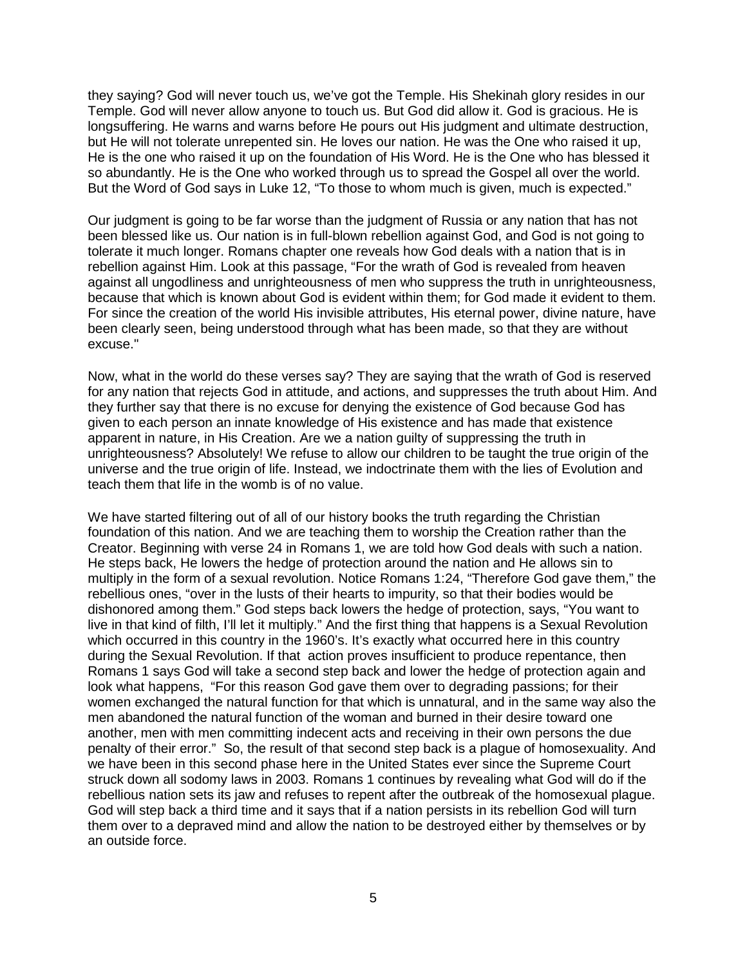they saying? God will never touch us, we've got the Temple. His Shekinah glory resides in our Temple. God will never allow anyone to touch us. But God did allow it. God is gracious. He is longsuffering. He warns and warns before He pours out His judgment and ultimate destruction, but He will not tolerate unrepented sin. He loves our nation. He was the One who raised it up, He is the one who raised it up on the foundation of His Word. He is the One who has blessed it so abundantly. He is the One who worked through us to spread the Gospel all over the world. But the Word of God says in Luke 12, "To those to whom much is given, much is expected."

Our judgment is going to be far worse than the judgment of Russia or any nation that has not been blessed like us. Our nation is in full-blown rebellion against God, and God is not going to tolerate it much longer. Romans chapter one reveals how God deals with a nation that is in rebellion against Him. Look at this passage, "For the wrath of God is revealed from heaven against all ungodliness and unrighteousness of men who suppress the truth in unrighteousness, because that which is known about God is evident within them; for God made it evident to them. For since the creation of the world His invisible attributes, His eternal power, divine nature, have been clearly seen, being understood through what has been made, so that they are without excuse."

Now, what in the world do these verses say? They are saying that the wrath of God is reserved for any nation that rejects God in attitude, and actions, and suppresses the truth about Him. And they further say that there is no excuse for denying the existence of God because God has given to each person an innate knowledge of His existence and has made that existence apparent in nature, in His Creation. Are we a nation guilty of suppressing the truth in unrighteousness? Absolutely! We refuse to allow our children to be taught the true origin of the universe and the true origin of life. Instead, we indoctrinate them with the lies of Evolution and teach them that life in the womb is of no value.

We have started filtering out of all of our history books the truth regarding the Christian foundation of this nation. And we are teaching them to worship the Creation rather than the Creator. Beginning with verse 24 in Romans 1, we are told how God deals with such a nation. He steps back, He lowers the hedge of protection around the nation and He allows sin to multiply in the form of a sexual revolution. Notice Romans 1:24, "Therefore God gave them," the rebellious ones, "over in the lusts of their hearts to impurity, so that their bodies would be dishonored among them." God steps back lowers the hedge of protection, says, "You want to live in that kind of filth, I'll let it multiply." And the first thing that happens is a Sexual Revolution which occurred in this country in the 1960's. It's exactly what occurred here in this country during the Sexual Revolution. If that action proves insufficient to produce repentance, then Romans 1 says God will take a second step back and lower the hedge of protection again and look what happens, "For this reason God gave them over to degrading passions; for their women exchanged the natural function for that which is unnatural, and in the same way also the men abandoned the natural function of the woman and burned in their desire toward one another, men with men committing indecent acts and receiving in their own persons the due penalty of their error." So, the result of that second step back is a plague of homosexuality. And we have been in this second phase here in the United States ever since the Supreme Court struck down all sodomy laws in 2003. Romans 1 continues by revealing what God will do if the rebellious nation sets its jaw and refuses to repent after the outbreak of the homosexual plague. God will step back a third time and it says that if a nation persists in its rebellion God will turn them over to a depraved mind and allow the nation to be destroyed either by themselves or by an outside force.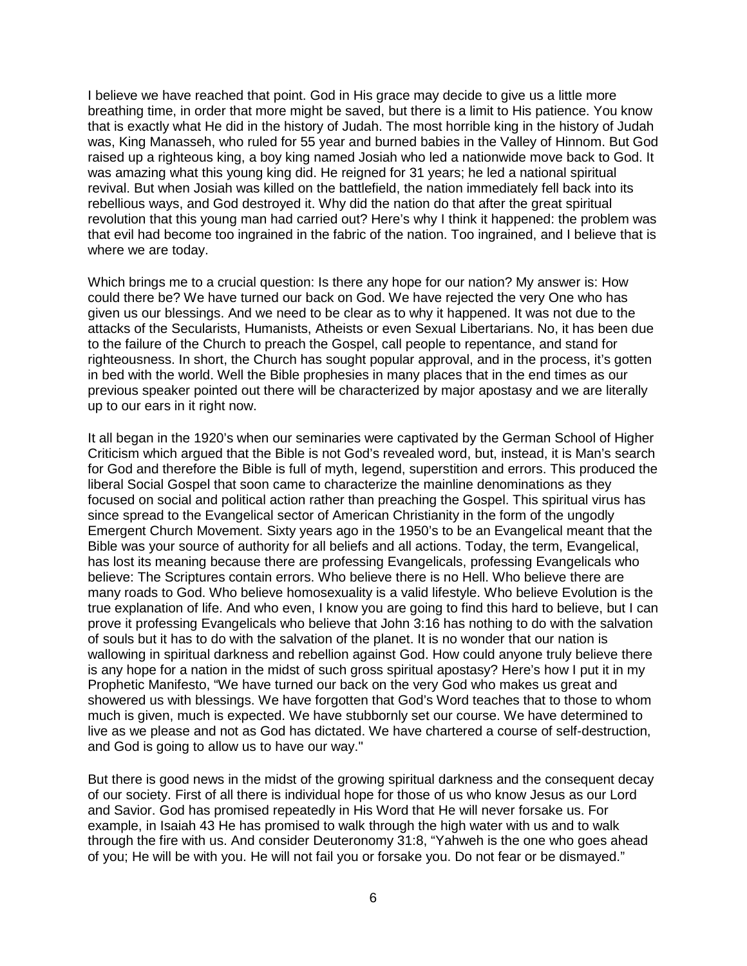I believe we have reached that point. God in His grace may decide to give us a little more breathing time, in order that more might be saved, but there is a limit to His patience. You know that is exactly what He did in the history of Judah. The most horrible king in the history of Judah was, King Manasseh, who ruled for 55 year and burned babies in the Valley of Hinnom. But God raised up a righteous king, a boy king named Josiah who led a nationwide move back to God. It was amazing what this young king did. He reigned for 31 years; he led a national spiritual revival. But when Josiah was killed on the battlefield, the nation immediately fell back into its rebellious ways, and God destroyed it. Why did the nation do that after the great spiritual revolution that this young man had carried out? Here's why I think it happened: the problem was that evil had become too ingrained in the fabric of the nation. Too ingrained, and I believe that is where we are today.

Which brings me to a crucial question: Is there any hope for our nation? My answer is: How could there be? We have turned our back on God. We have rejected the very One who has given us our blessings. And we need to be clear as to why it happened. It was not due to the attacks of the Secularists, Humanists, Atheists or even Sexual Libertarians. No, it has been due to the failure of the Church to preach the Gospel, call people to repentance, and stand for righteousness. In short, the Church has sought popular approval, and in the process, it's gotten in bed with the world. Well the Bible prophesies in many places that in the end times as our previous speaker pointed out there will be characterized by major apostasy and we are literally up to our ears in it right now.

It all began in the 1920's when our seminaries were captivated by the German School of Higher Criticism which argued that the Bible is not God's revealed word, but, instead, it is Man's search for God and therefore the Bible is full of myth, legend, superstition and errors. This produced the liberal Social Gospel that soon came to characterize the mainline denominations as they focused on social and political action rather than preaching the Gospel. This spiritual virus has since spread to the Evangelical sector of American Christianity in the form of the ungodly Emergent Church Movement. Sixty years ago in the 1950's to be an Evangelical meant that the Bible was your source of authority for all beliefs and all actions. Today, the term, Evangelical, has lost its meaning because there are professing Evangelicals, professing Evangelicals who believe: The Scriptures contain errors. Who believe there is no Hell. Who believe there are many roads to God. Who believe homosexuality is a valid lifestyle. Who believe Evolution is the true explanation of life. And who even, I know you are going to find this hard to believe, but I can prove it professing Evangelicals who believe that John 3:16 has nothing to do with the salvation of souls but it has to do with the salvation of the planet. It is no wonder that our nation is wallowing in spiritual darkness and rebellion against God. How could anyone truly believe there is any hope for a nation in the midst of such gross spiritual apostasy? Here's how I put it in my Prophetic Manifesto, "We have turned our back on the very God who makes us great and showered us with blessings. We have forgotten that God's Word teaches that to those to whom much is given, much is expected. We have stubbornly set our course. We have determined to live as we please and not as God has dictated. We have chartered a course of self-destruction, and God is going to allow us to have our way."

But there is good news in the midst of the growing spiritual darkness and the consequent decay of our society. First of all there is individual hope for those of us who know Jesus as our Lord and Savior. God has promised repeatedly in His Word that He will never forsake us. For example, in Isaiah 43 He has promised to walk through the high water with us and to walk through the fire with us. And consider Deuteronomy 31:8, "Yahweh is the one who goes ahead of you; He will be with you. He will not fail you or forsake you. Do not fear or be dismayed."